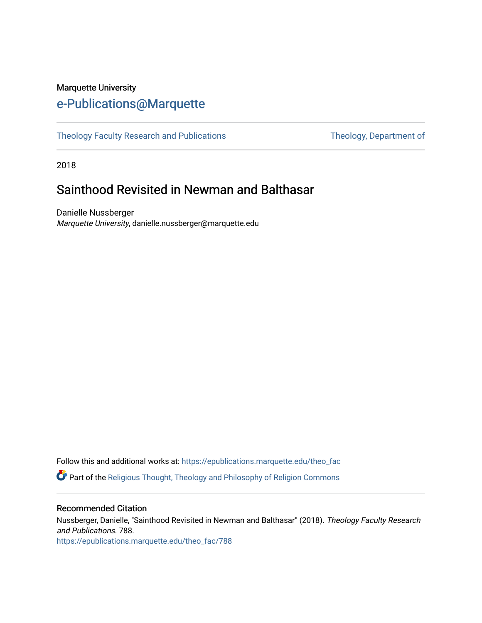## Marquette University [e-Publications@Marquette](https://epublications.marquette.edu/)

[Theology Faculty Research and Publications](https://epublications.marquette.edu/theo_fac) Theology, Department of

2018

# Sainthood Revisited in Newman and Balthasar

Danielle Nussberger Marquette University, danielle.nussberger@marquette.edu

Follow this and additional works at: [https://epublications.marquette.edu/theo\\_fac](https://epublications.marquette.edu/theo_fac?utm_source=epublications.marquette.edu%2Ftheo_fac%2F788&utm_medium=PDF&utm_campaign=PDFCoverPages)  **P** Part of the Religious Thought, Theology and Philosophy of Religion Commons

#### Recommended Citation

Nussberger, Danielle, "Sainthood Revisited in Newman and Balthasar" (2018). Theology Faculty Research and Publications. 788. [https://epublications.marquette.edu/theo\\_fac/788](https://epublications.marquette.edu/theo_fac/788?utm_source=epublications.marquette.edu%2Ftheo_fac%2F788&utm_medium=PDF&utm_campaign=PDFCoverPages)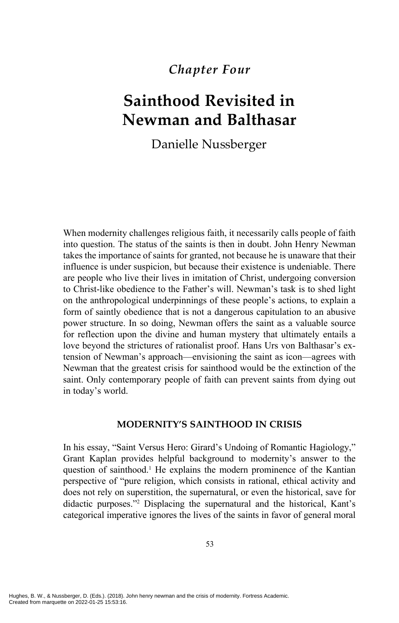### *Chapter Four*

# **Sainthood Revisited in Newman and Balthasar**

Danielle Nussberger

When modernity challenges religious faith, it necessarily calls people of faith into question. The status of the saints is then in doubt. John Henry Newman takes the importance of saints for granted, not because he is unaware that their influence is under suspicion, but because their existence is undeniable. There are people who live their lives in imitation of Christ, undergoing conversion to Christ-like obedience to the Father's will. Newman's task is to shed light on the anthropological underpinnings of these people's actions, to explain a form of saintly obedience that is not a dangerous capitulation to an abusive power structure. In so doing, Newman offers the saint as a valuable source for reflection upon the divine and human mystery that ultimately entails a love beyond the strictures of rationalist proof. Hans Urs von Balthasar's extension of Newman's approach—envisioning the saint as icon—agrees with Newman that the greatest crisis for sainthood would be the extinction of the saint. Only contemporary people of faith can prevent saints from dying out in today's world.

#### **MODERNITY'S SAINTHOOD IN CRISIS**

In his essay, "Saint Versus Hero: Girard's Undoing of Romantic Hagiology," Grant Kaplan provides helpful background to modernity's answer to the question of sainthood.<sup>1</sup> He explains the modern prominence of the Kantian perspective of "pure religion, which consists in rational, ethical activity and does not rely on superstition, the supernatural, or even the historical, save for didactic purposes."2 Displacing the supernatural and the historical, Kant's categorical imperative ignores the lives of the saints in favor of general moral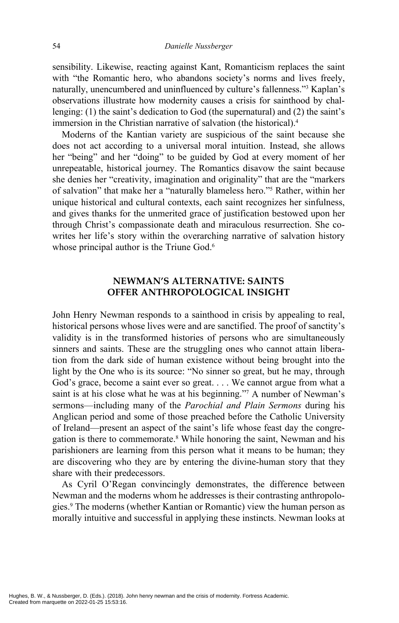sensibility. Likewise, reacting against Kant, Romanticism replaces the saint with "the Romantic hero, who abandons society's norms and lives freely, naturally, unencumbered and uninfluenced by culture's fallenness."3 Kaplan's observations illustrate how modernity causes a crisis for sainthood by challenging: (1) the saint's dedication to God (the supernatural) and (2) the saint's immersion in the Christian narrative of salvation (the historical).<sup>4</sup>

Moderns of the Kantian variety are suspicious of the saint because she does not act according to a universal moral intuition. Instead, she allows her "being" and her "doing" to be guided by God at every moment of her unrepeatable, historical journey. The Romantics disavow the saint because she denies her "creativity, imagination and originality" that are the "markers of salvation" that make her a "naturally blameless hero."5 Rather, within her unique historical and cultural contexts, each saint recognizes her sinfulness, and gives thanks for the unmerited grace of justification bestowed upon her through Christ's compassionate death and miraculous resurrection. She cowrites her life's story within the overarching narrative of salvation history whose principal author is the Triune God.<sup>6</sup>

#### **NEWMAN'S ALTERNATIVE: SAINTS OFFER ANTHROPOLOGICAL INSIGHT**

John Henry Newman responds to a sainthood in crisis by appealing to real, historical persons whose lives were and are sanctified. The proof of sanctity's validity is in the transformed histories of persons who are simultaneously sinners and saints. These are the struggling ones who cannot attain liberation from the dark side of human existence without being brought into the light by the One who is its source: "No sinner so great, but he may, through God's grace, become a saint ever so great. . . . We cannot argue from what a saint is at his close what he was at his beginning."<sup>7</sup> A number of Newman's sermons—including many of the *Parochial and Plain Sermons* during his Anglican period and some of those preached before the Catholic University of Ireland—present an aspect of the saint's life whose feast day the congregation is there to commemorate.<sup>8</sup> While honoring the saint, Newman and his parishioners are learning from this person what it means to be human; they are discovering who they are by entering the divine-human story that they share with their predecessors.

As Cyril O'Regan convincingly demonstrates, the difference between Newman and the moderns whom he addresses is their contrasting anthropologies.9 The moderns (whether Kantian or Romantic) view the human person as morally intuitive and successful in applying these instincts. Newman looks at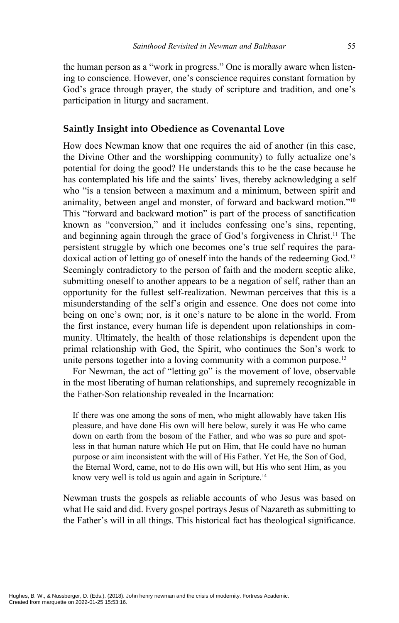the human person as a "work in progress." One is morally aware when listening to conscience. However, one's conscience requires constant formation by God's grace through prayer, the study of scripture and tradition, and one's participation in liturgy and sacrament.

#### **Saintly Insight into Obedience as Covenantal Love**

How does Newman know that one requires the aid of another (in this case, the Divine Other and the worshipping community) to fully actualize one's potential for doing the good? He understands this to be the case because he has contemplated his life and the saints' lives, thereby acknowledging a self who "is a tension between a maximum and a minimum, between spirit and animality, between angel and monster, of forward and backward motion."10 This "forward and backward motion" is part of the process of sanctification known as "conversion," and it includes confessing one's sins, repenting, and beginning again through the grace of God's forgiveness in Christ.11 The persistent struggle by which one becomes one's true self requires the paradoxical action of letting go of oneself into the hands of the redeeming God.12 Seemingly contradictory to the person of faith and the modern sceptic alike, submitting oneself to another appears to be a negation of self, rather than an opportunity for the fullest self-realization. Newman perceives that this is a misunderstanding of the self's origin and essence. One does not come into being on one's own; nor, is it one's nature to be alone in the world. From the first instance, every human life is dependent upon relationships in community. Ultimately, the health of those relationships is dependent upon the primal relationship with God, the Spirit, who continues the Son's work to unite persons together into a loving community with a common purpose.<sup>13</sup>

For Newman, the act of "letting go" is the movement of love, observable in the most liberating of human relationships, and supremely recognizable in the Father-Son relationship revealed in the Incarnation:

If there was one among the sons of men, who might allowably have taken His pleasure, and have done His own will here below, surely it was He who came down on earth from the bosom of the Father, and who was so pure and spotless in that human nature which He put on Him, that He could have no human purpose or aim inconsistent with the will of His Father. Yet He, the Son of God, the Eternal Word, came, not to do His own will, but His who sent Him, as you know very well is told us again and again in Scripture.<sup>14</sup>

Newman trusts the gospels as reliable accounts of who Jesus was based on what He said and did. Every gospel portrays Jesus of Nazareth as submitting to the Father's will in all things. This historical fact has theological significance.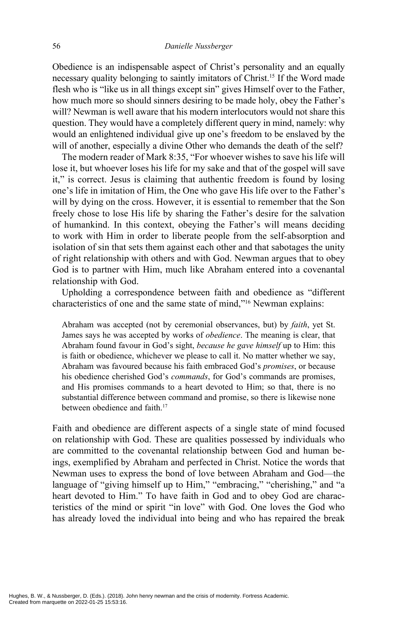Obedience is an indispensable aspect of Christ's personality and an equally necessary quality belonging to saintly imitators of Christ.15 If the Word made flesh who is "like us in all things except sin" gives Himself over to the Father, how much more so should sinners desiring to be made holy, obey the Father's will? Newman is well aware that his modern interlocutors would not share this question. They would have a completely different query in mind, namely: why would an enlightened individual give up one's freedom to be enslaved by the will of another, especially a divine Other who demands the death of the self?

The modern reader of Mark 8:35, "For whoever wishes to save his life will lose it, but whoever loses his life for my sake and that of the gospel will save it," is correct. Jesus is claiming that authentic freedom is found by losing one's life in imitation of Him, the One who gave His life over to the Father's will by dying on the cross. However, it is essential to remember that the Son freely chose to lose His life by sharing the Father's desire for the salvation of humankind. In this context, obeying the Father's will means deciding to work with Him in order to liberate people from the self-absorption and isolation of sin that sets them against each other and that sabotages the unity of right relationship with others and with God. Newman argues that to obey God is to partner with Him, much like Abraham entered into a covenantal relationship with God.

Upholding a correspondence between faith and obedience as "different characteristics of one and the same state of mind,"16 Newman explains:

Abraham was accepted (not by ceremonial observances, but) by *faith*, yet St. James says he was accepted by works of *obedience*. The meaning is clear, that Abraham found favour in God's sight, *because he gave himself* up to Him: this is faith or obedience, whichever we please to call it. No matter whether we say, Abraham was favoured because his faith embraced God's *promises*, or because his obedience cherished God's *commands*, for God's commands are promises, and His promises commands to a heart devoted to Him; so that, there is no substantial difference between command and promise, so there is likewise none between obedience and faith<sup>17</sup>

Faith and obedience are different aspects of a single state of mind focused on relationship with God. These are qualities possessed by individuals who are committed to the covenantal relationship between God and human beings, exemplified by Abraham and perfected in Christ. Notice the words that Newman uses to express the bond of love between Abraham and God—the language of "giving himself up to Him," "embracing," "cherishing," and "a heart devoted to Him." To have faith in God and to obey God are characteristics of the mind or spirit "in love" with God. One loves the God who has already loved the individual into being and who has repaired the break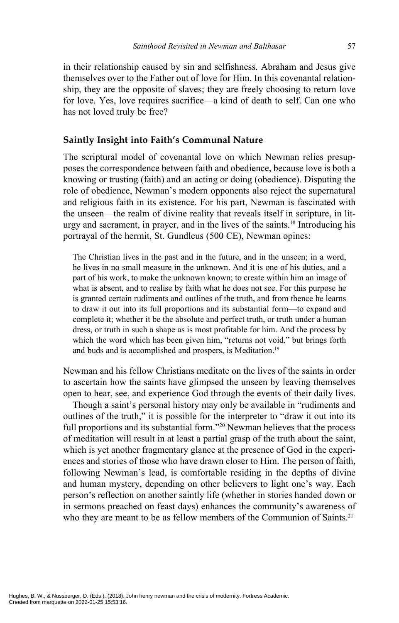in their relationship caused by sin and selfishness. Abraham and Jesus give themselves over to the Father out of love for Him. In this covenantal relationship, they are the opposite of slaves; they are freely choosing to return love for love. Yes, love requires sacrifice—a kind of death to self. Can one who has not loved truly be free?

#### **Saintly Insight into Faith's Communal Nature**

The scriptural model of covenantal love on which Newman relies presupposes the correspondence between faith and obedience, because love is both a knowing or trusting (faith) and an acting or doing (obedience). Disputing the role of obedience, Newman's modern opponents also reject the supernatural and religious faith in its existence. For his part, Newman is fascinated with the unseen—the realm of divine reality that reveals itself in scripture, in liturgy and sacrament, in prayer, and in the lives of the saints.18 Introducing his portrayal of the hermit, St. Gundleus (500 CE), Newman opines:

The Christian lives in the past and in the future, and in the unseen; in a word, he lives in no small measure in the unknown. And it is one of his duties, and a part of his work, to make the unknown known; to create within him an image of what is absent, and to realise by faith what he does not see. For this purpose he is granted certain rudiments and outlines of the truth, and from thence he learns to draw it out into its full proportions and its substantial form—to expand and complete it; whether it be the absolute and perfect truth, or truth under a human dress, or truth in such a shape as is most profitable for him. And the process by which the word which has been given him, "returns not void," but brings forth and buds and is accomplished and prospers, is Meditation.<sup>19</sup>

Newman and his fellow Christians meditate on the lives of the saints in order to ascertain how the saints have glimpsed the unseen by leaving themselves open to hear, see, and experience God through the events of their daily lives.

Though a saint's personal history may only be available in "rudiments and outlines of the truth," it is possible for the interpreter to "draw it out into its full proportions and its substantial form."20 Newman believes that the process of meditation will result in at least a partial grasp of the truth about the saint, which is yet another fragmentary glance at the presence of God in the experiences and stories of those who have drawn closer to Him. The person of faith, following Newman's lead, is comfortable residing in the depths of divine and human mystery, depending on other believers to light one's way. Each person's reflection on another saintly life (whether in stories handed down or in sermons preached on feast days) enhances the community's awareness of who they are meant to be as fellow members of the Communion of Saints.<sup>21</sup>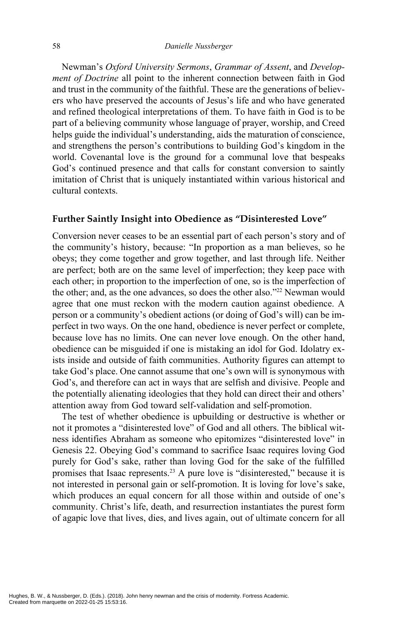Newman's *Oxford University Sermons*, *Grammar of Assent*, and *Development of Doctrine* all point to the inherent connection between faith in God and trust in the community of the faithful. These are the generations of believers who have preserved the accounts of Jesus's life and who have generated and refined theological interpretations of them. To have faith in God is to be part of a believing community whose language of prayer, worship, and Creed helps guide the individual's understanding, aids the maturation of conscience, and strengthens the person's contributions to building God's kingdom in the world. Covenantal love is the ground for a communal love that bespeaks God's continued presence and that calls for constant conversion to saintly imitation of Christ that is uniquely instantiated within various historical and cultural contexts.

#### **Further Saintly Insight into Obedience as "Disinterested Love"**

Conversion never ceases to be an essential part of each person's story and of the community's history, because: "In proportion as a man believes, so he obeys; they come together and grow together, and last through life. Neither are perfect; both are on the same level of imperfection; they keep pace with each other; in proportion to the imperfection of one, so is the imperfection of the other; and, as the one advances, so does the other also."<sup>22</sup> Newman would agree that one must reckon with the modern caution against obedience. A person or a community's obedient actions (or doing of God's will) can be imperfect in two ways. On the one hand, obedience is never perfect or complete, because love has no limits. One can never love enough. On the other hand, obedience can be misguided if one is mistaking an idol for God. Idolatry exists inside and outside of faith communities. Authority figures can attempt to take God's place. One cannot assume that one's own will is synonymous with God's, and therefore can act in ways that are selfish and divisive. People and the potentially alienating ideologies that they hold can direct their and others' attention away from God toward self-validation and self-promotion.

The test of whether obedience is upbuilding or destructive is whether or not it promotes a "disinterested love" of God and all others. The biblical witness identifies Abraham as someone who epitomizes "disinterested love" in Genesis 22. Obeying God's command to sacrifice Isaac requires loving God purely for God's sake, rather than loving God for the sake of the fulfilled promises that Isaac represents.23 A pure love is "disinterested," because it is not interested in personal gain or self-promotion. It is loving for love's sake, which produces an equal concern for all those within and outside of one's community. Christ's life, death, and resurrection instantiates the purest form of agapic love that lives, dies, and lives again, out of ultimate concern for all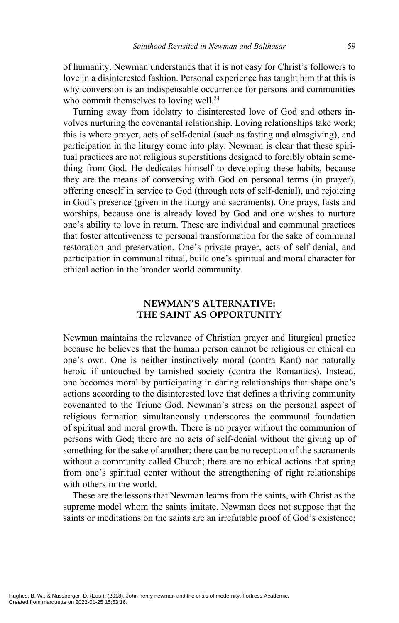of humanity. Newman understands that it is not easy for Christ's followers to love in a disinterested fashion. Personal experience has taught him that this is why conversion is an indispensable occurrence for persons and communities who commit themselves to loving well.<sup>24</sup>

Turning away from idolatry to disinterested love of God and others involves nurturing the covenantal relationship. Loving relationships take work; this is where prayer, acts of self-denial (such as fasting and almsgiving), and participation in the liturgy come into play. Newman is clear that these spiritual practices are not religious superstitions designed to forcibly obtain something from God. He dedicates himself to developing these habits, because they are the means of conversing with God on personal terms (in prayer), offering oneself in service to God (through acts of self-denial), and rejoicing in God's presence (given in the liturgy and sacraments). One prays, fasts and worships, because one is already loved by God and one wishes to nurture one's ability to love in return. These are individual and communal practices that foster attentiveness to personal transformation for the sake of communal restoration and preservation. One's private prayer, acts of self-denial, and participation in communal ritual, build one's spiritual and moral character for ethical action in the broader world community.

#### **NEWMAN'S ALTERNATIVE: THE SAINT AS OPPORTUNITY**

Newman maintains the relevance of Christian prayer and liturgical practice because he believes that the human person cannot be religious or ethical on one's own. One is neither instinctively moral (contra Kant) nor naturally heroic if untouched by tarnished society (contra the Romantics). Instead, one becomes moral by participating in caring relationships that shape one's actions according to the disinterested love that defines a thriving community covenanted to the Triune God. Newman's stress on the personal aspect of religious formation simultaneously underscores the communal foundation of spiritual and moral growth. There is no prayer without the communion of persons with God; there are no acts of self-denial without the giving up of something for the sake of another; there can be no reception of the sacraments without a community called Church; there are no ethical actions that spring from one's spiritual center without the strengthening of right relationships with others in the world.

These are the lessons that Newman learns from the saints, with Christ as the supreme model whom the saints imitate. Newman does not suppose that the saints or meditations on the saints are an irrefutable proof of God's existence;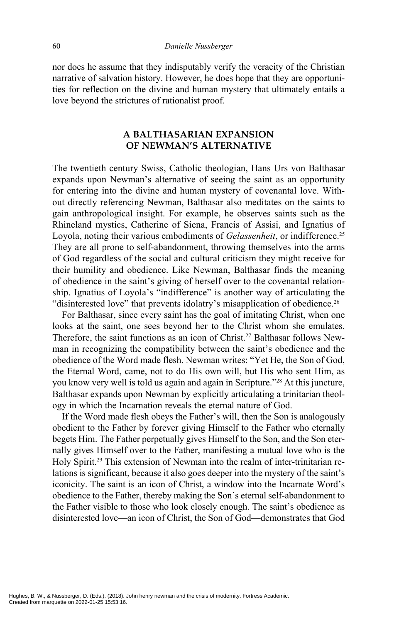nor does he assume that they indisputably verify the veracity of the Christian narrative of salvation history. However, he does hope that they are opportunities for reflection on the divine and human mystery that ultimately entails a love beyond the strictures of rationalist proof.

#### **A BALTHASARIAN EXPANSION OF NEWMAN'S ALTERNATIVE**

The twentieth century Swiss, Catholic theologian, Hans Urs von Balthasar expands upon Newman's alternative of seeing the saint as an opportunity for entering into the divine and human mystery of covenantal love. Without directly referencing Newman, Balthasar also meditates on the saints to gain anthropological insight. For example, he observes saints such as the Rhineland mystics, Catherine of Siena, Francis of Assisi, and Ignatius of Loyola, noting their various embodiments of *Gelassenheit*, or indifference.<sup>25</sup> They are all prone to self-abandonment, throwing themselves into the arms of God regardless of the social and cultural criticism they might receive for their humility and obedience. Like Newman, Balthasar finds the meaning of obedience in the saint's giving of herself over to the covenantal relationship. Ignatius of Loyola's "indifference" is another way of articulating the "disinterested love" that prevents idolatry's misapplication of obedience.<sup>26</sup>

For Balthasar, since every saint has the goal of imitating Christ, when one looks at the saint, one sees beyond her to the Christ whom she emulates. Therefore, the saint functions as an icon of Christ.27 Balthasar follows Newman in recognizing the compatibility between the saint's obedience and the obedience of the Word made flesh. Newman writes: "Yet He, the Son of God, the Eternal Word, came, not to do His own will, but His who sent Him, as you know very well is told us again and again in Scripture."28 At this juncture, Balthasar expands upon Newman by explicitly articulating a trinitarian theology in which the Incarnation reveals the eternal nature of God.

If the Word made flesh obeys the Father's will, then the Son is analogously obedient to the Father by forever giving Himself to the Father who eternally begets Him. The Father perpetually gives Himself to the Son, and the Son eternally gives Himself over to the Father, manifesting a mutual love who is the Holy Spirit.<sup>29</sup> This extension of Newman into the realm of inter-trinitarian relations is significant, because it also goes deeper into the mystery of the saint's iconicity. The saint is an icon of Christ, a window into the Incarnate Word's obedience to the Father, thereby making the Son's eternal self-abandonment to the Father visible to those who look closely enough. The saint's obedience as disinterested love—an icon of Christ, the Son of God—demonstrates that God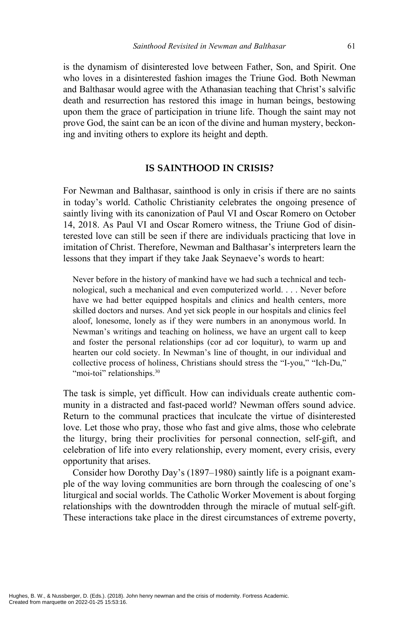is the dynamism of disinterested love between Father, Son, and Spirit. One who loves in a disinterested fashion images the Triune God. Both Newman and Balthasar would agree with the Athanasian teaching that Christ's salvific death and resurrection has restored this image in human beings, bestowing upon them the grace of participation in triune life. Though the saint may not prove God, the saint can be an icon of the divine and human mystery, beckoning and inviting others to explore its height and depth.

#### **IS SAINTHOOD IN CRISIS?**

For Newman and Balthasar, sainthood is only in crisis if there are no saints in today's world. Catholic Christianity celebrates the ongoing presence of saintly living with its canonization of Paul VI and Oscar Romero on October 14, 2018. As Paul VI and Oscar Romero witness, the Triune God of disinterested love can still be seen if there are individuals practicing that love in imitation of Christ. Therefore, Newman and Balthasar's interpreters learn the lessons that they impart if they take Jaak Seynaeve's words to heart:

Never before in the history of mankind have we had such a technical and technological, such a mechanical and even computerized world. . . . Never before have we had better equipped hospitals and clinics and health centers, more skilled doctors and nurses. And yet sick people in our hospitals and clinics feel aloof, lonesome, lonely as if they were numbers in an anonymous world. In Newman's writings and teaching on holiness, we have an urgent call to keep and foster the personal relationships (cor ad cor loquitur), to warm up and hearten our cold society. In Newman's line of thought, in our individual and collective process of holiness, Christians should stress the "I-you," "Ich-Du," "moi-toi" relationships.<sup>30</sup>

The task is simple, yet difficult. How can individuals create authentic community in a distracted and fast-paced world? Newman offers sound advice. Return to the communal practices that inculcate the virtue of disinterested love. Let those who pray, those who fast and give alms, those who celebrate the liturgy, bring their proclivities for personal connection, self-gift, and celebration of life into every relationship, every moment, every crisis, every opportunity that arises.

Consider how Dorothy Day's (1897–1980) saintly life is a poignant example of the way loving communities are born through the coalescing of one's liturgical and social worlds. The Catholic Worker Movement is about forging relationships with the downtrodden through the miracle of mutual self-gift. These interactions take place in the direst circumstances of extreme poverty,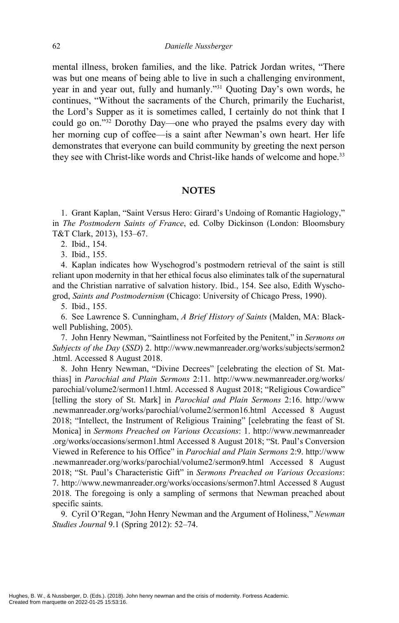mental illness, broken families, and the like. Patrick Jordan writes, "There was but one means of being able to live in such a challenging environment, year in and year out, fully and humanly."31 Quoting Day's own words, he continues, "Without the sacraments of the Church, primarily the Eucharist, the Lord's Supper as it is sometimes called, I certainly do not think that I could go on."32 Dorothy Day—one who prayed the psalms every day with her morning cup of coffee—is a saint after Newman's own heart. Her life demonstrates that everyone can build community by greeting the next person they see with Christ-like words and Christ-like hands of welcome and hope.<sup>33</sup>

#### **NOTES**

1. Grant Kaplan, "Saint Versus Hero: Girard's Undoing of Romantic Hagiology," in *The Postmodern Saints of France*, ed. Colby Dickinson (London: Bloomsbury T&T Clark, 2013), 153–67.

2. Ibid., 154.

3. Ibid., 155.

4. Kaplan indicates how Wyschogrod's postmodern retrieval of the saint is still reliant upon modernity in that her ethical focus also eliminates talk of the supernatural and the Christian narrative of salvation history. Ibid., 154. See also, Edith Wyschogrod, *Saints and Postmodernism* (Chicago: University of Chicago Press, 1990).

5. Ibid., 155.

6. See Lawrence S. Cunningham, *A Brief History of Saints* (Malden, MA: Blackwell Publishing, 2005).

7. John Henry Newman, "Saintliness not Forfeited by the Penitent," in *Sermons on Subjects of the Day* (*SSD*) 2. http://www.newmanreader.org/works/subjects/sermon2 .html. Accessed 8 August 2018.

8. John Henry Newman, "Divine Decrees" [celebrating the election of St. Matthias] in *Parochial and Plain Sermons* 2:11. http://www.newmanreader.org/works/ parochial/volume2/sermon11.html. Accessed 8 August 2018; "Religious Cowardice" [telling the story of St. Mark] in *Parochial and Plain Sermons* 2:16. http://www .newmanreader.org/works/parochial/volume2/sermon16.html Accessed 8 August 2018; "Intellect, the Instrument of Religious Training" [celebrating the feast of St. Monica] in *Sermons Preached on Various Occasions*: 1. http://www.newmanreader .org/works/occasions/sermon1.html Accessed 8 August 2018; "St. Paul's Conversion Viewed in Reference to his Office" in *Parochial and Plain Sermons* 2:9. http://www .newmanreader.org/works/parochial/volume2/sermon9.html Accessed 8 August 2018; "St. Paul's Characteristic Gift" in *Sermons Preached on Various Occasions*: 7. http://www.newmanreader.org/works/occasions/sermon7.html Accessed 8 August 2018. The foregoing is only a sampling of sermons that Newman preached about specific saints.

9. Cyril O'Regan, "John Henry Newman and the Argument of Holiness," *Newman Studies Journal* 9.1 (Spring 2012): 52–74.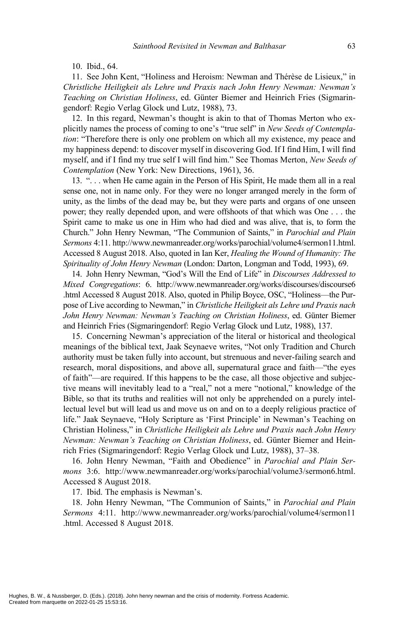10. Ibid., 64.

11. See John Kent, "Holiness and Heroism: Newman and Thérèse de Lisieux," in *Christliche Heiligkeit als Lehre und Praxis nach John Henry Newman: Newman's Teaching on Christian Holiness*, ed. Günter Biemer and Heinrich Fries (Sigmaringendorf: Regio Verlag Glock und Lutz, 1988), 73.

12. In this regard, Newman's thought is akin to that of Thomas Merton who explicitly names the process of coming to one's "true self" in *New Seeds of Contemplation*: "Therefore there is only one problem on which all my existence, my peace and my happiness depend: to discover myself in discovering God. If I find Him, I will find myself, and if I find my true self I will find him." See Thomas Merton, *New Seeds of Contemplation* (New York: New Directions, 1961), 36.

13. ". . . when He came again in the Person of His Spirit, He made them all in a real sense one, not in name only. For they were no longer arranged merely in the form of unity, as the limbs of the dead may be, but they were parts and organs of one unseen power; they really depended upon, and were offshoots of that which was One . . . the Spirit came to make us one in Him who had died and was alive, that is, to form the Church." John Henry Newman, "The Communion of Saints," in *Parochial and Plain Sermons* 4:11. http://www.newmanreader.org/works/parochial/volume4/sermon11.html. Accessed 8 August 2018. Also, quoted in Ian Ker, *Healing the Wound of Humanity: The Spirituality of John Henry Newman* (London: Darton, Longman and Todd, 1993), 69.

14. John Henry Newman, "God's Will the End of Life" in *Discourses Addressed to Mixed Congregations*: 6. http://www.newmanreader.org/works/discourses/discourse6 .html Accessed 8 August 2018. Also, quoted in Philip Boyce, OSC, "Holiness—the Purpose of Live according to Newman," in *Christliche Heiligkeit als Lehre und Praxis nach John Henry Newman: Newman's Teaching on Christian Holiness*, ed. Günter Biemer and Heinrich Fries (Sigmaringendorf: Regio Verlag Glock und Lutz, 1988), 137.

15. Concerning Newman's appreciation of the literal or historical and theological meanings of the biblical text, Jaak Seynaeve writes, "Not only Tradition and Church authority must be taken fully into account, but strenuous and never-failing search and research, moral dispositions, and above all, supernatural grace and faith—"the eyes of faith"—are required. If this happens to be the case, all those objective and subjective means will inevitably lead to a "real," not a mere "notional," knowledge of the Bible, so that its truths and realities will not only be apprehended on a purely intellectual level but will lead us and move us on and on to a deeply religious practice of life." Jaak Seynaeve, "Holy Scripture as 'First Principle' in Newman's Teaching on Christian Holiness," in *Christliche Heiligkeit als Lehre und Praxis nach John Henry Newman: Newman's Teaching on Christian Holiness*, ed. Günter Biemer and Heinrich Fries (Sigmaringendorf: Regio Verlag Glock und Lutz, 1988), 37–38.

16. John Henry Newman, "Faith and Obedience" in *Parochial and Plain Sermons* 3:6. http://www.newmanreader.org/works/parochial/volume3/sermon6.html. Accessed 8 August 2018.

17. Ibid. The emphasis is Newman's.

18. John Henry Newman, "The Communion of Saints," in *Parochial and Plain Sermons* 4:11. http://www.newmanreader.org/works/parochial/volume4/sermon11 .html. Accessed 8 August 2018.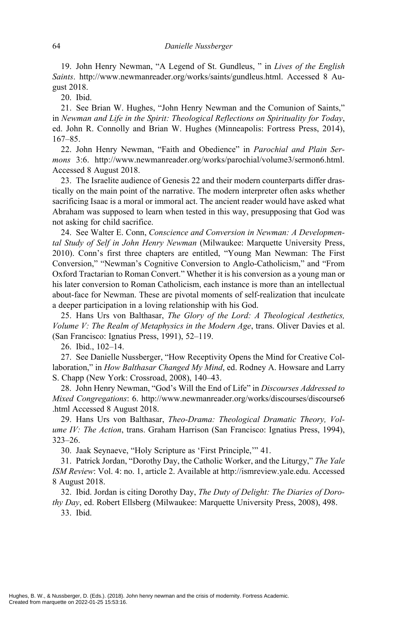19. John Henry Newman, "A Legend of St. Gundleus, " in *Lives of the English Saints*. http://www.newmanreader.org/works/saints/gundleus.html. Accessed 8 August 2018.

20. Ibid.

21. See Brian W. Hughes, "John Henry Newman and the Comunion of Saints," in *Newman and Life in the Spirit: Theological Reflections on Spirituality for Today*, ed. John R. Connolly and Brian W. Hughes (Minneapolis: Fortress Press, 2014), 167–85.

22. John Henry Newman, "Faith and Obedience" in *Parochial and Plain Sermons* 3:6. http://www.newmanreader.org/works/parochial/volume3/sermon6.html. Accessed 8 August 2018.

23. The Israelite audience of Genesis 22 and their modern counterparts differ drastically on the main point of the narrative. The modern interpreter often asks whether sacrificing Isaac is a moral or immoral act. The ancient reader would have asked what Abraham was supposed to learn when tested in this way, presupposing that God was not asking for child sacrifice.

24. See Walter E. Conn, *Conscience and Conversion in Newman: A Developmental Study of Self in John Henry Newman* (Milwaukee: Marquette University Press, 2010). Conn's first three chapters are entitled, "Young Man Newman: The First Conversion," "Newman's Cognitive Conversion to Anglo-Catholicism," and "From Oxford Tractarian to Roman Convert." Whether it is his conversion as a young man or his later conversion to Roman Catholicism, each instance is more than an intellectual about-face for Newman. These are pivotal moments of self-realization that inculcate a deeper participation in a loving relationship with his God.

25. Hans Urs von Balthasar, *The Glory of the Lord: A Theological Aesthetics, Volume V: The Realm of Metaphysics in the Modern Age*, trans. Oliver Davies et al. (San Francisco: Ignatius Press, 1991), 52–119.

26. Ibid., 102–14.

27. See Danielle Nussberger, "How Receptivity Opens the Mind for Creative Collaboration," in *How Balthasar Changed My Mind*, ed. Rodney A. Howsare and Larry S. Chapp (New York: Crossroad, 2008), 140–43.

28. John Henry Newman, "God's Will the End of Life" in *Discourses Addressed to Mixed Congregations*: 6. http://www.newmanreader.org/works/discourses/discourse6 .html Accessed 8 August 2018.

29. Hans Urs von Balthasar, *Theo-Drama: Theological Dramatic Theory, Volume IV: The Action*, trans. Graham Harrison (San Francisco: Ignatius Press, 1994), 323–26.

30. Jaak Seynaeve, "Holy Scripture as 'First Principle,'" 41.

31. Patrick Jordan, "Dorothy Day, the Catholic Worker, and the Liturgy," *The Yale ISM Review*: Vol. 4: no. 1, article 2. Available at http://ismreview.yale.edu. Accessed 8 August 2018.

32. Ibid. Jordan is citing Dorothy Day, *The Duty of Delight: The Diaries of Dorothy Day*, ed. Robert Ellsberg (Milwaukee: Marquette University Press, 2008), 498.

33. Ibid.